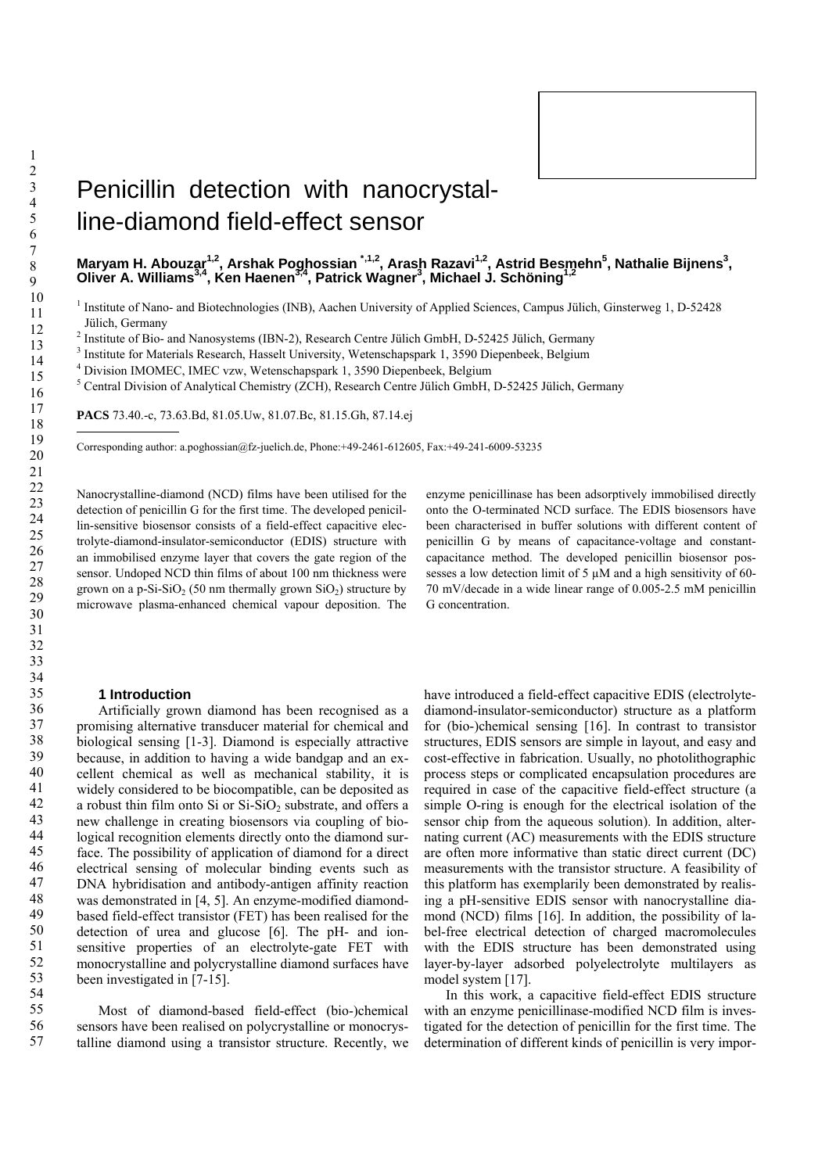# Penicillin detection with nanocrystalline-diamond field-effect sensor

Maryam H. Abouzar<sup>1,2</sup>, Arshak Poghossian <sup>[\\*](#page-0-0),1,2</sup>, Arash Razavi<sup>1,2</sup>, Astrid Besmehn<sup>5</sup>, Nathalie Bijnens<sup>3</sup>, Oliver A. Williams<sup>3,4</sup>, Ken Haenen<sup>3,4</sup>, Patrick Wagner<sup>3</sup>, Michael J. Schöning<sup>1,2</sup>

<sup>1</sup> Institute of Nano- and Biotechnologies (INB), Aachen University of Applied Sciences, Campus Jülich, Ginsterweg 1, D-52428 Jülich, Germany

<sup>2</sup> Institute of Bio- and Nanosystems (IBN-2), Research Centre Jülich GmbH, D-52425 Jülich, Germany

<sup>3</sup> Institute for Materials Research, Hasselt University, Wetenschapspark 1, 3590 Diepenbeek, Belgium  $\frac{4 \text{ Division MOMEC UMC}}{4 \text{ Division MOMEC UMC}}$ 

Division IMOMEC, IMEC vzw, Wetenschapspark 1, 3590 Diepenbeek, Belgium

<sup>5</sup> Central Division of Analytical Chemistry (ZCH), Research Centre Jülich GmbH, D-52425 Jülich, Germany

**PACS** 73.40.-c, 73.63.Bd, 81.05.Uw, 81.07.Bc, 81.15.Gh, 87.14.ej

<span id="page-0-0"></span>Corresponding author: a.poghossian@fz-juelich.de, Phone:+49-2461-612605, Fax:+49-241-6009-53235

Nanocrystalline-diamond (NCD) films have been utilised for the detection of penicillin G for the first time. The developed penicillin-sensitive biosensor consists of a field-effect capacitive electrolyte-diamond-insulator-semiconductor (EDIS) structure with an immobilised enzyme layer that covers the gate region of the sensor. Undoped NCD thin films of about 100 nm thickness were grown on a p-Si-SiO<sub>2</sub> (50 nm thermally grown SiO<sub>2</sub>) structure by microwave plasma-enhanced chemical vapour deposition. The

#### **1 Introduction**

Artificially grown diamond has been recognised as a promising alternative transducer material for chemical and biological sensing [1-3]. Diamond is especially attractive because, in addition to having a wide bandgap and an excellent chemical as well as mechanical stability, it is widely considered to be biocompatible, can be deposited as a robust thin film onto Si or  $Si-SiO<sub>2</sub>$  substrate, and offers a new challenge in creating biosensors via coupling of biological recognition elements directly onto the diamond surface. The possibility of application of diamond for a direct electrical sensing of molecular binding events such as DNA hybridisation and antibody-antigen affinity reaction was demonstrated in [4, 5]. An enzyme-modified diamondbased field-effect transistor (FET) has been realised for the detection of urea and glucose [6]. The pH- and ionsensitive properties of an electrolyte-gate FET with monocrystalline and polycrystalline diamond surfaces have been investigated in [7-15].

Most of diamond-based field-effect (bio-)chemical sensors have been realised on polycrystalline or monocrystalline diamond using a transistor structure. Recently, we enzyme penicillinase has been adsorptively immobilised directly onto the O-terminated NCD surface. The EDIS biosensors have been characterised in buffer solutions with different content of penicillin G by means of capacitance-voltage and constantcapacitance method. The developed penicillin biosensor possesses a low detection limit of 5  $\mu$ M and a high sensitivity of 60-70 mV/decade in a wide linear range of 0.005-2.5 mM penicillin G concentration.

have introduced a field-effect capacitive EDIS (electrolytediamond-insulator-semiconductor) structure as a platform for (bio-)chemical sensing [16]. In contrast to transistor structures, EDIS sensors are simple in layout, and easy and cost-effective in fabrication. Usually, no photolithographic process steps or complicated encapsulation procedures are required in case of the capacitive field-effect structure (a simple O-ring is enough for the electrical isolation of the sensor chip from the aqueous solution). In addition, alternating current (AC) measurements with the EDIS structure are often more informative than static direct current (DC) measurements with the transistor structure. A feasibility of this platform has exemplarily been demonstrated by realising a pH-sensitive EDIS sensor with nanocrystalline diamond (NCD) films [16]. In addition, the possibility of label-free electrical detection of charged macromolecules with the EDIS structure has been demonstrated using layer-by-layer adsorbed polyelectrolyte multilayers as model system [17].

In this work, a capacitive field-effect EDIS structure with an enzyme penicillinase-modified NCD film is investigated for the detection of penicillin for the first time. The determination of different kinds of penicillin is very impor-

-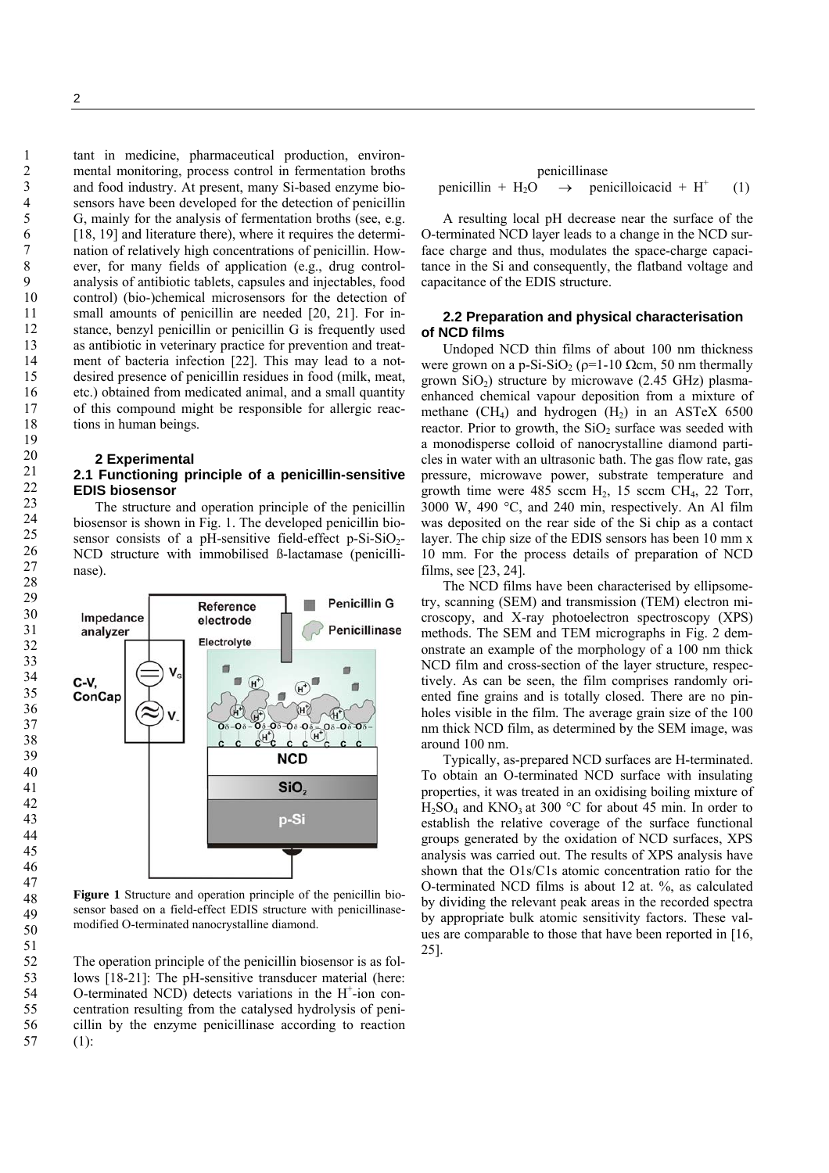tant in medicine, pharmaceutical production, environmental monitoring, process control in fermentation broths and food industry. At present, many Si-based enzyme biosensors have been developed for the detection of penicillin G, mainly for the analysis of fermentation broths (see, e.g. [18, 19] and literature there), where it requires the determination of relatively high concentrations of penicillin. However, for many fields of application (e.g., drug controlanalysis of antibiotic tablets, capsules and injectables, food control) (bio-)chemical microsensors for the detection of small amounts of penicillin are needed [20, 21]. For instance, benzyl penicillin or penicillin G is frequently used as antibiotic in veterinary practice for prevention and treatment of bacteria infection [22]. This may lead to a notdesired presence of penicillin residues in food (milk, meat, etc.) obtained from medicated animal, and a small quantity of this compound might be responsible for allergic reactions in human beings.

## **2 Experimental**

## **2.1 Functioning principle of a penicillin-sensitive EDIS biosensor**

The structure and operation principle of the penicillin biosensor is shown in Fig. 1. The developed penicillin biosensor consists of a pH-sensitive field-effect p-Si-SiO<sub>2</sub>-NCD structure with immobilised ß-lactamase (penicillinase).



**Figure 1** Structure and operation principle of the penicillin biosensor based on a field-effect EDIS structure with penicillinasemodified O-terminated nanocrystalline diamond.

The operation principle of the penicillin biosensor is as follows [18-21]: The pH-sensitive transducer material (here: O-terminated NCD) detects variations in the  $H^+$ -ion concentration resulting from the catalysed hydrolysis of penicillin by the enzyme penicillinase according to reaction (1):

penicillinase  
penicillin + H<sub>2</sub>O 
$$
\rightarrow
$$
 penicilloicacid + H<sup>+</sup> (1)

A resulting local pH decrease near the surface of the O-terminated NCD layer leads to a change in the NCD surface charge and thus, modulates the space-charge capacitance in the Si and consequently, the flatband voltage and capacitance of the EDIS structure.

## **2.2 Preparation and physical characterisation of NCD films**

Undoped NCD thin films of about 100 nm thickness were grown on a p-Si-SiO<sub>2</sub> ( $\rho$ =1-10 Ωcm, 50 nm thermally grown  $SiO<sub>2</sub>$ ) structure by microwave (2.45 GHz) plasmaenhanced chemical vapour deposition from a mixture of methane  $(CH_4)$  and hydrogen  $(H_2)$  in an ASTeX 6500 reactor. Prior to growth, the  $SiO<sub>2</sub>$  surface was seeded with a monodisperse colloid of nanocrystalline diamond particles in water with an ultrasonic bath. The gas flow rate, gas pressure, microwave power, substrate temperature and growth time were 485 sccm  $H_2$ , 15 sccm  $CH_4$ , 22 Torr, 3000 W, 490 °C, and 240 min, respectively. An Al film was deposited on the rear side of the Si chip as a contact layer. The chip size of the EDIS sensors has been 10 mm x 10 mm. For the process details of preparation of NCD films, see [23, 24].

The NCD films have been characterised by ellipsometry, scanning (SEM) and transmission (TEM) electron microscopy, and X-ray photoelectron spectroscopy (XPS) methods. The SEM and TEM micrographs in Fig. 2 demonstrate an example of the morphology of a 100 nm thick NCD film and cross-section of the layer structure, respectively. As can be seen, the film comprises randomly oriented fine grains and is totally closed. There are no pinholes visible in the film. The average grain size of the 100 nm thick NCD film, as determined by the SEM image, was around 100 nm.

Typically, as-prepared NCD surfaces are H-terminated. To obtain an O-terminated NCD surface with insulating properties, it was treated in an oxidising boiling mixture of  $H_2SO_4$  and  $KNO_3$  at 300 °C for about 45 min. In order to establish the relative coverage of the surface functional groups generated by the oxidation of NCD surfaces, XPS analysis was carried out. The results of XPS analysis have shown that the O1s/C1s atomic concentration ratio for the O-terminated NCD films is about 12 at. %, as calculated by dividing the relevant peak areas in the recorded spectra by appropriate bulk atomic sensitivity factors. These values are comparable to those that have been reported in [16, 25].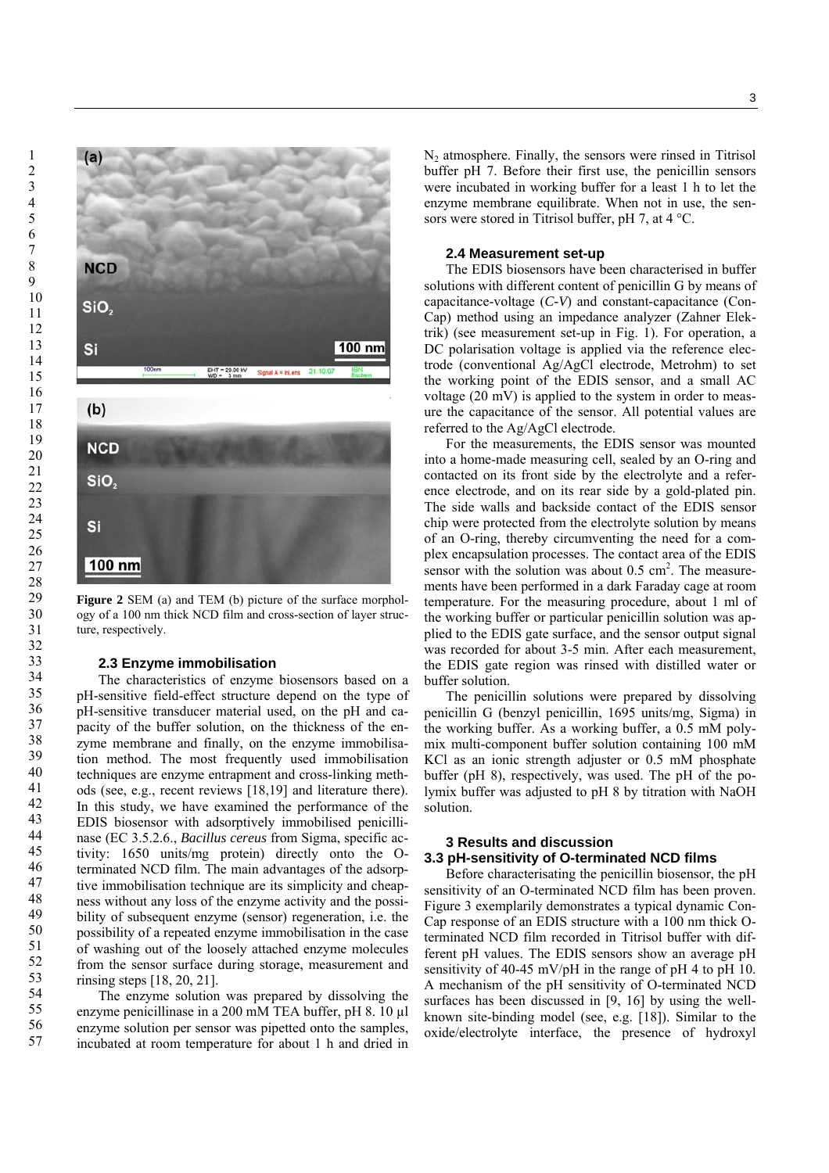

**Figure 2** SEM (a) and TEM (b) picture of the surface morphology of a 100 nm thick NCD film and cross-section of layer structure, respectively.

### **2.3 Enzyme immobilisation**

The characteristics of enzyme biosensors based on a pH-sensitive field-effect structure depend on the type of pH-sensitive transducer material used, on the pH and capacity of the buffer solution, on the thickness of the enzyme membrane and finally, on the enzyme immobilisation method. The most frequently used immobilisation techniques are enzyme entrapment and cross-linking methods (see, e.g., recent reviews [18,19] and literature there). In this study, we have examined the performance of the EDIS biosensor with adsorptively immobilised penicillinase (EC 3.5.2.6., *Bacillus cereus* from Sigma, specific activity: 1650 units/mg protein) directly onto the Oterminated NCD film. The main advantages of the adsorptive immobilisation technique are its simplicity and cheapness without any loss of the enzyme activity and the possibility of subsequent enzyme (sensor) regeneration, i.e. the possibility of a repeated enzyme immobilisation in the case of washing out of the loosely attached enzyme molecules from the sensor surface during storage, measurement and rinsing steps [18, 20, 21].

The enzyme solution was prepared by dissolving the enzyme penicillinase in a 200 mM TEA buffer, pH 8. 10 µl enzyme solution per sensor was pipetted onto the samples, incubated at room temperature for about 1 h and dried in  $N_2$  atmosphere. Finally, the sensors were rinsed in Titrisol buffer pH 7. Before their first use, the penicillin sensors were incubated in working buffer for a least 1 h to let the enzyme membrane equilibrate. When not in use, the sensors were stored in Titrisol buffer, pH 7, at 4 °C.

### **2.4 Measurement set-up**

The EDIS biosensors have been characterised in buffer solutions with different content of penicillin G by means of capacitance-voltage (*C-V*) and constant-capacitance (Con-Cap) method using an impedance analyzer (Zahner Elektrik) (see measurement set-up in Fig. 1). For operation, a DC polarisation voltage is applied via the reference electrode (conventional Ag/AgCl electrode, Metrohm) to set the working point of the EDIS sensor, and a small AC voltage (20 mV) is applied to the system in order to measure the capacitance of the sensor. All potential values are referred to the Ag/AgCl electrode.

For the measurements, the EDIS sensor was mounted into a home-made measuring cell, sealed by an O-ring and contacted on its front side by the electrolyte and a reference electrode, and on its rear side by a gold-plated pin. The side walls and backside contact of the EDIS sensor chip were protected from the electrolyte solution by means of an O-ring, thereby circumventing the need for a complex encapsulation processes. The contact area of the EDIS sensor with the solution was about  $0.5 \text{ cm}^2$ . The measurements have been performed in a dark Faraday cage at room temperature. For the measuring procedure, about 1 ml of the working buffer or particular penicillin solution was applied to the EDIS gate surface, and the sensor output signal was recorded for about 3-5 min. After each measurement, the EDIS gate region was rinsed with distilled water or buffer solution.

The penicillin solutions were prepared by dissolving penicillin G (benzyl penicillin, 1695 units/mg, Sigma) in the working buffer. As a working buffer, a 0.5 mM polymix multi-component buffer solution containing 100 mM KCl as an ionic strength adjuster or 0.5 mM phosphate buffer (pH 8), respectively, was used. The pH of the polymix buffer was adjusted to pH 8 by titration with NaOH solution.

# **3 Results and discussion 3.3 pH-sensitivity of O-terminated NCD films**

Before characterisating the penicillin biosensor, the pH sensitivity of an O-terminated NCD film has been proven. Figure 3 exemplarily demonstrates a typical dynamic Con-Cap response of an EDIS structure with a 100 nm thick Oterminated NCD film recorded in Titrisol buffer with different pH values. The EDIS sensors show an average pH sensitivity of 40-45 mV/pH in the range of pH 4 to pH 10. A mechanism of the pH sensitivity of O-terminated NCD surfaces has been discussed in [9, 16] by using the wellknown site-binding model (see, e.g. [18]). Similar to the oxide/electrolyte interface, the presence of hydroxyl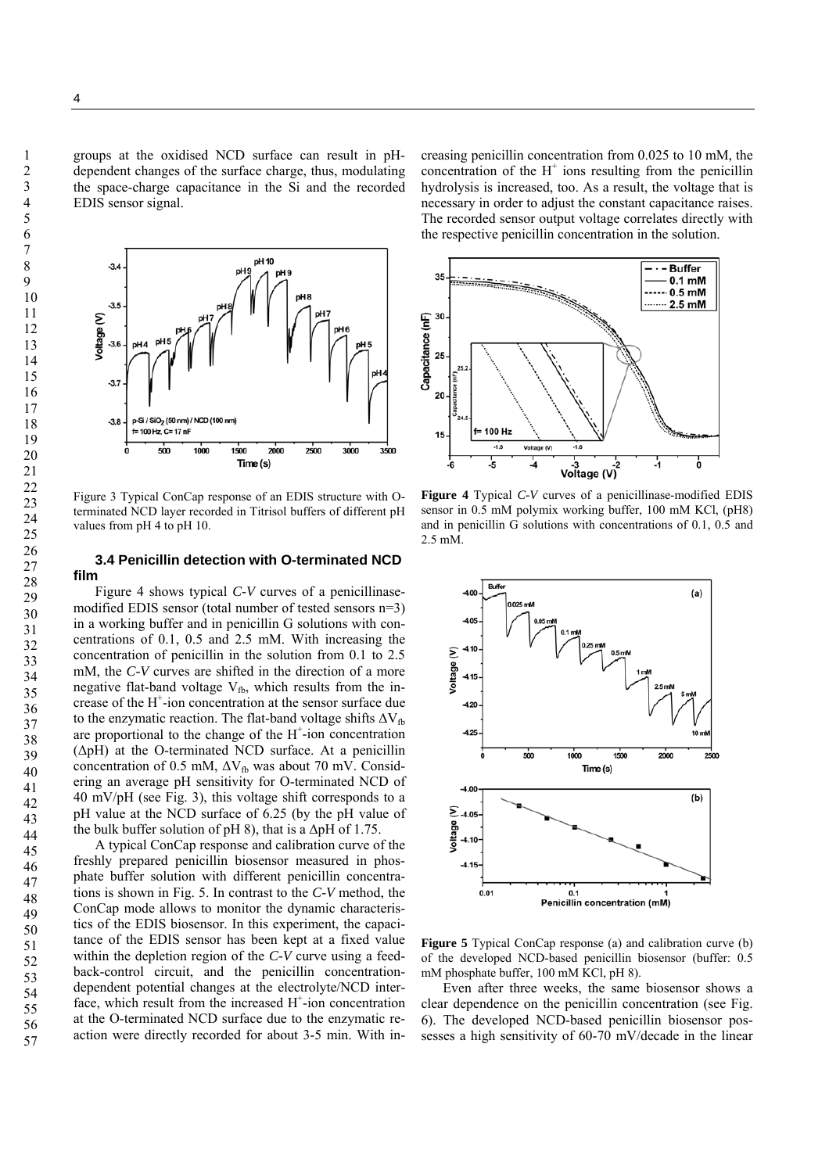groups at the oxidised NCD surface can result in pHdependent changes of the surface charge, thus, modulating the space-charge capacitance in the Si and the recorded EDIS sensor signal.



Figure 3 Typical ConCap response of an EDIS structure with Oterminated NCD layer recorded in Titrisol buffers of different pH values from pH 4 to pH 10.

## **3.4 Penicillin detection with O-terminated NCD film**

Figure 4 shows typical *C-V* curves of a penicillinasemodified EDIS sensor (total number of tested sensors n=3) in a working buffer and in penicillin G solutions with concentrations of 0.1, 0.5 and 2.5 mM. With increasing the concentration of penicillin in the solution from 0.1 to 2.5 mM, the *C-V* curves are shifted in the direction of a more negative flat-band voltage  $V_{fb}$ , which results from the increase of the H+ -ion concentration at the sensor surface due to the enzymatic reaction. The flat-band voltage shifts  $\Delta V_{\text{fb}}$ are proportional to the change of the  $H^+$ -ion concentration (ΔpH) at the O-terminated NCD surface. At a penicillin concentration of 0.5 mM,  $\Delta V_{fb}$  was about 70 mV. Considering an average pH sensitivity for O-terminated NCD of 40 mV/pH (see Fig. 3), this voltage shift corresponds to a pH value at the NCD surface of 6.25 (by the pH value of the bulk buffer solution of  $pH_1$ 8), that is a  $\Delta pH_1$  of 1.75.

A typical ConCap response and calibration curve of the freshly prepared penicillin biosensor measured in phosphate buffer solution with different penicillin concentrations is shown in Fig. 5. In contrast to the *C-V* method, the ConCap mode allows to monitor the dynamic characteristics of the EDIS biosensor. In this experiment, the capacitance of the EDIS sensor has been kept at a fixed value within the depletion region of the *C-V* curve using a feedback-control circuit, and the penicillin concentrationdependent potential changes at the electrolyte/NCD interface, which result from the increased  $H^+$ -ion concentration at the O-terminated NCD surface due to the enzymatic reaction were directly recorded for about 3-5 min. With in-

creasing penicillin concentration from 0.025 to 10 mM, the concentration of the  $H^+$  ions resulting from the penicillin hydrolysis is increased, too. As a result, the voltage that is necessary in order to adjust the constant capacitance raises. The recorded sensor output voltage correlates directly with the respective penicillin concentration in the solution.



**Figure 4** Typical *C-V* curves of a penicillinase-modified EDIS sensor in 0.5 mM polymix working buffer, 100 mM KCl, (pH8) and in penicillin G solutions with concentrations of 0.1, 0.5 and 2.5 mM.



**Figure 5** Typical ConCap response (a) and calibration curve (b) of the developed NCD-based penicillin biosensor (buffer: 0.5 mM phosphate buffer, 100 mM KCl, pH 8).

Even after three weeks, the same biosensor shows a clear dependence on the penicillin concentration (see Fig. 6). The developed NCD-based penicillin biosensor possesses a high sensitivity of 60-70 mV/decade in the linear